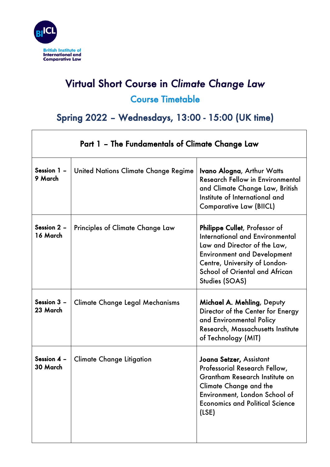

 $\mathsf{r}$ 

## Virtual Short Course in *Climate Change Law* Course Timetable

## Spring 2022 – Wednesdays, 13:00 - 15:00 (UK time)

┑

| Part 1 - The Fundamentals of Climate Change Law |                                      |                                                                                                                                                                                                                                    |
|-------------------------------------------------|--------------------------------------|------------------------------------------------------------------------------------------------------------------------------------------------------------------------------------------------------------------------------------|
| Session 1 -<br>9 March                          | United Nations Climate Change Regime | <b>Ivano Alogna, Arthur Watts</b><br><b>Research Fellow in Environmental</b><br>and Climate Change Law, British<br>Institute of International and<br><b>Comparative Law (BIICL)</b>                                                |
| Session 2 -<br>16 March                         | Principles of Climate Change Law     | Philippe Cullet, Professor of<br>International and Environmental<br>Law and Director of the Law,<br><b>Environment and Development</b><br>Centre, University of London-<br><b>School of Oriental and African</b><br>Studies (SOAS) |
| Session 3 -<br>23 March                         | Climate Change Legal Mechanisms      | Michael A. Mehling, Deputy<br>Director of the Center for Energy<br>and Environmental Policy<br>Research, Massachusetts Institute<br>of Technology (MIT)                                                                            |
| Session $4 -$<br>30 March                       | <b>Climate Change Litigation</b>     | Joana Setzer, Assistant<br>Professorial Research Fellow,<br>Grantham Research Institute on<br><b>Climate Change and the</b><br>Environment, London School of<br><b>Economics and Political Science</b><br>(LSE)                    |